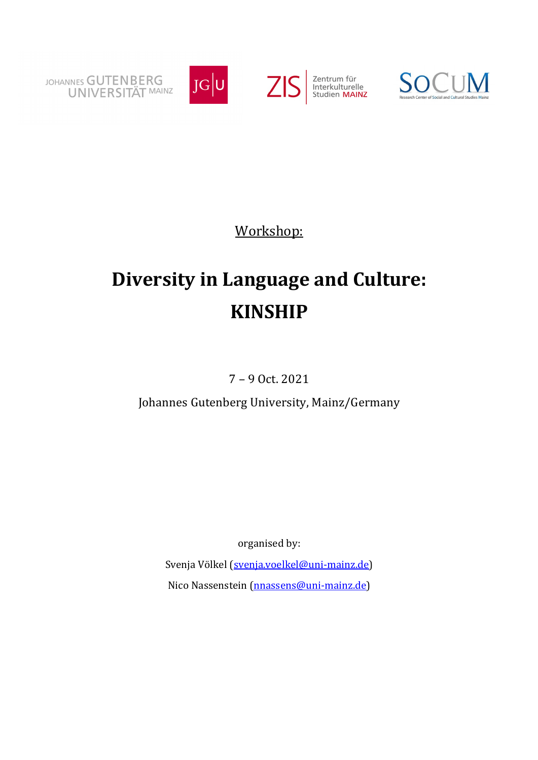



Workshop:

## **Diversity in Language and Culture: KINSHIP**

7 – 9 Oct. 2021

Johannes Gutenberg University, Mainz/Germany

organised by:

Svenja Völkel (svenja.voelkel@uni-mainz.de) Nico Nassenstein (nnassens@uni-mainz.de)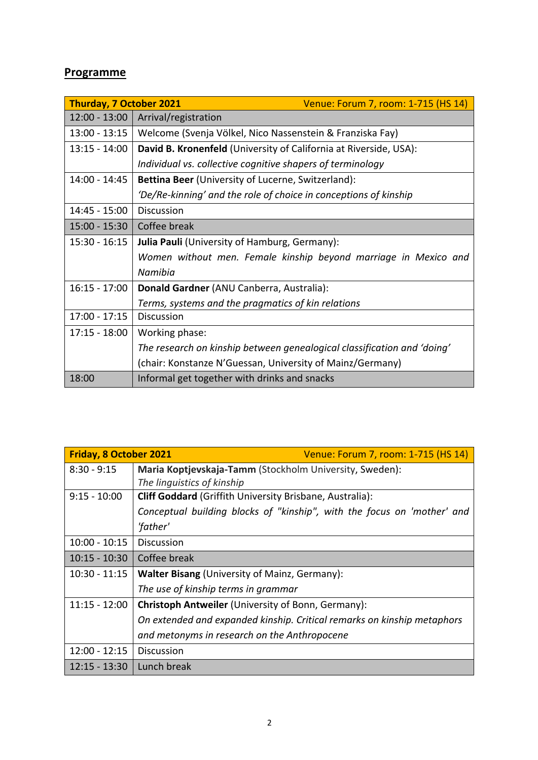## **Programme**

| <b>Thurday, 7 October 2021</b><br>Venue: Forum 7, room: 1-715 (HS 14) |                                                                          |
|-----------------------------------------------------------------------|--------------------------------------------------------------------------|
| $12:00 - 13:00$                                                       | Arrival/registration                                                     |
| $13:00 - 13:15$                                                       | Welcome (Svenja Völkel, Nico Nassenstein & Franziska Fay)                |
| $13:15 - 14:00$                                                       | <b>David B. Kronenfeld</b> (University of California at Riverside, USA): |
|                                                                       | Individual vs. collective cognitive shapers of terminology               |
| 14:00 - 14:45                                                         | Bettina Beer (University of Lucerne, Switzerland):                       |
|                                                                       | 'De/Re-kinning' and the role of choice in conceptions of kinship         |
| 14:45 - 15:00                                                         | <b>Discussion</b>                                                        |
| $15:00 - 15:30$                                                       | Coffee break                                                             |
| $15:30 - 16:15$                                                       | <b>Julia Pauli</b> (University of Hamburg, Germany):                     |
|                                                                       | Women without men. Female kinship beyond marriage in Mexico and          |
|                                                                       | Namibia                                                                  |
| $16:15 - 17:00$                                                       | Donald Gardner (ANU Canberra, Australia):                                |
|                                                                       | Terms, systems and the pragmatics of kin relations                       |
| $17:00 - 17:15$                                                       | <b>Discussion</b>                                                        |
| $17:15 - 18:00$                                                       | Working phase:                                                           |
|                                                                       | The research on kinship between genealogical classification and 'doing'  |
|                                                                       | (chair: Konstanze N'Guessan, University of Mainz/Germany)                |
| 18:00                                                                 | Informal get together with drinks and snacks                             |

| <b>Friday, 8 October 2021</b> | Venue: Forum 7, room: 1-715 (HS 14)                                     |
|-------------------------------|-------------------------------------------------------------------------|
| $8:30 - 9:15$                 | Maria Koptjevskaja-Tamm (Stockholm University, Sweden):                 |
|                               | The linguistics of kinship                                              |
| $9:15 - 10:00$                | <b>Cliff Goddard</b> (Griffith University Brisbane, Australia):         |
|                               | Conceptual building blocks of "kinship", with the focus on 'mother' and |
|                               | 'father'                                                                |
| $10:00 - 10:15$               | <b>Discussion</b>                                                       |
| $10:15 - 10:30$               | Coffee break                                                            |
| $10:30 - 11:15$               | Walter Bisang (University of Mainz, Germany):                           |
|                               | The use of kinship terms in grammar                                     |
| $11:15 - 12:00$               | Christoph Antweiler (University of Bonn, Germany):                      |
|                               | On extended and expanded kinship. Critical remarks on kinship metaphors |
|                               | and metonyms in research on the Anthropocene                            |
| $12:00 - 12:15$               | <b>Discussion</b>                                                       |
| $12:15 - 13:30$               | Lunch break                                                             |